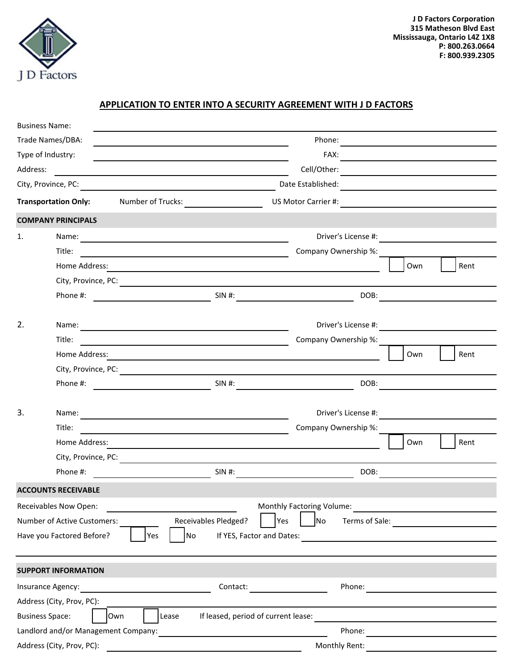

## **APPLICATION TO ENTER INTO A SECURITY AGREEMENT WITH J D FACTORS**

|                                     | <b>Business Name:</b>       |                                                                                                                                                                                                                                      |                             |                                                                                                                                                                                                                                |  |  |
|-------------------------------------|-----------------------------|--------------------------------------------------------------------------------------------------------------------------------------------------------------------------------------------------------------------------------------|-----------------------------|--------------------------------------------------------------------------------------------------------------------------------------------------------------------------------------------------------------------------------|--|--|
|                                     | Trade Names/DBA:            |                                                                                                                                                                                                                                      | Phone:                      | <u> 1989 - Johann Harry Harry Harry Harry Harry Harry Harry Harry Harry Harry Harry Harry Harry Harry Harry Harry</u>                                                                                                          |  |  |
|                                     | Type of Industry:           |                                                                                                                                                                                                                                      |                             |                                                                                                                                                                                                                                |  |  |
| Address:                            |                             |                                                                                                                                                                                                                                      | Cell/Other:                 | <u> 1989 - Johann John Stone, meil in der Stone besteht der Stone besteht der Stone besteht der Stone besteht der</u>                                                                                                          |  |  |
|                                     |                             |                                                                                                                                                                                                                                      |                             |                                                                                                                                                                                                                                |  |  |
|                                     | <b>Transportation Only:</b> | Number of Trucks:                                                                                                                                                                                                                    | US Motor Carrier #:         |                                                                                                                                                                                                                                |  |  |
|                                     | <b>COMPANY PRINCIPALS</b>   |                                                                                                                                                                                                                                      |                             |                                                                                                                                                                                                                                |  |  |
| 1.                                  | Name:                       | <u> 1989 - Johann Barn, mars ann an t-Amhainn an t-Amhainn an t-Amhainn an t-Amhainn an t-Amhainn an t-Amhainn a</u>                                                                                                                 | Driver's License #:         |                                                                                                                                                                                                                                |  |  |
|                                     | Title:                      | <u> 1989 - Johann Barn, fransk politik amerikansk politik (</u>                                                                                                                                                                      | Company Ownership %:        |                                                                                                                                                                                                                                |  |  |
|                                     | Home Address:               | and the control of the control of the control of the control of the control of the control of the control of the                                                                                                                     |                             | Own<br>Rent                                                                                                                                                                                                                    |  |  |
|                                     |                             |                                                                                                                                                                                                                                      |                             |                                                                                                                                                                                                                                |  |  |
|                                     | Phone #:                    | SIN #:                                                                                                                                                                                                                               |                             | DOB: the contract of the contract of the contract of the contract of the contract of the contract of the contract of the contract of the contract of the contract of the contract of the contract of the contract of the contr |  |  |
|                                     |                             |                                                                                                                                                                                                                                      |                             |                                                                                                                                                                                                                                |  |  |
| 2.                                  |                             | Name: <u>contract and contract and contract and contract and contract and contract and contract and contract and contract and contract and contract and contract and contract and contract and contract and contract and contrac</u> |                             | Driver's License #:                                                                                                                                                                                                            |  |  |
|                                     | Title:                      | <u> 1989 - Johann Stoff, fransk politik (d. 1989)</u>                                                                                                                                                                                | Company Ownership %:        |                                                                                                                                                                                                                                |  |  |
|                                     | Home Address:               |                                                                                                                                                                                                                                      |                             | Own<br>Rent                                                                                                                                                                                                                    |  |  |
|                                     |                             |                                                                                                                                                                                                                                      |                             |                                                                                                                                                                                                                                |  |  |
|                                     | Phone #:                    | $SIN$ #:                                                                                                                                                                                                                             | DOB:                        |                                                                                                                                                                                                                                |  |  |
|                                     |                             |                                                                                                                                                                                                                                      |                             |                                                                                                                                                                                                                                |  |  |
| 3.                                  |                             |                                                                                                                                                                                                                                      |                             | Driver's License #:                                                                                                                                                                                                            |  |  |
|                                     | Title:                      | <u> 1980 - Johann Barn, mars eta bainar eta baina eta baina eta baina eta baina eta baina eta baina eta baina e</u>                                                                                                                  | Company Ownership %:        |                                                                                                                                                                                                                                |  |  |
|                                     | Home Address:               | <u> 1989 - Johann Barnett, fransk politiker (d. 1989)</u>                                                                                                                                                                            |                             | Own<br>Rent                                                                                                                                                                                                                    |  |  |
|                                     |                             | City, Province, PC: New York City, Province, PC: New York City, Province, PC: New York City, Province, PC: New York City, New York City, New York City, New York City, New York City, New York City, New York City, New York C       |                             |                                                                                                                                                                                                                                |  |  |
|                                     | Phone #:                    | <u> 1980 - Johann Barn, mars an t-Amerikaansk kommunister (</u>                                                                                                                                                                      | SIN #:<br>DOB:              |                                                                                                                                                                                                                                |  |  |
|                                     | <b>ACCOUNTS RECEIVABLE</b>  |                                                                                                                                                                                                                                      |                             |                                                                                                                                                                                                                                |  |  |
|                                     | Receivables Now Open:       |                                                                                                                                                                                                                                      | Monthly Factoring Volume:   |                                                                                                                                                                                                                                |  |  |
|                                     | Number of Active Customers: | <b>Receivables Pledged?</b>                                                                                                                                                                                                          | Yes<br>No<br>Terms of Sale: |                                                                                                                                                                                                                                |  |  |
|                                     | Have you Factored Before?   | No<br>Yes<br>If YES, Factor and Dates:                                                                                                                                                                                               |                             |                                                                                                                                                                                                                                |  |  |
|                                     |                             |                                                                                                                                                                                                                                      |                             |                                                                                                                                                                                                                                |  |  |
|                                     | <b>SUPPORT INFORMATION</b>  |                                                                                                                                                                                                                                      |                             |                                                                                                                                                                                                                                |  |  |
|                                     | Insurance Agency:           | Contact:                                                                                                                                                                                                                             | Phone:                      | the contract of the contract of the contract of the                                                                                                                                                                            |  |  |
|                                     | Address (City, Prov, PC):   |                                                                                                                                                                                                                                      |                             |                                                                                                                                                                                                                                |  |  |
|                                     | <b>Business Space:</b>      | If leased, period of current lease:<br>Own<br>Lease                                                                                                                                                                                  |                             |                                                                                                                                                                                                                                |  |  |
| Landlord and/or Management Company: |                             |                                                                                                                                                                                                                                      |                             |                                                                                                                                                                                                                                |  |  |
|                                     | Address (City, Prov, PC):   |                                                                                                                                                                                                                                      | Monthly Rent:               |                                                                                                                                                                                                                                |  |  |
|                                     |                             |                                                                                                                                                                                                                                      |                             |                                                                                                                                                                                                                                |  |  |